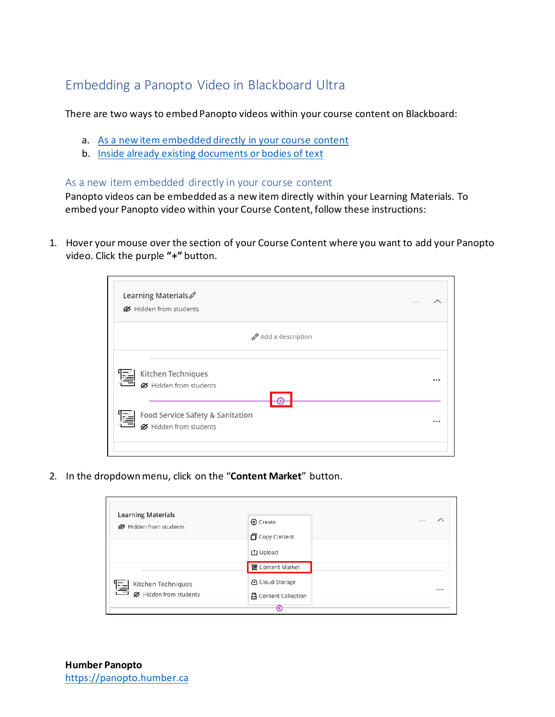# Embedding a Panopto Video in Blackboard Ultra

There are two ways to embed Panopto videos within your course content on Blackboard:

- a. As a new item embedded [directly in your course content](#page-0-0)
- b. Inside [already existing documents or bodies](#page-3-0) of text

#### <span id="page-0-0"></span>As a new item embedded directly in your course content

Panopto videos can be embedded as a new item directly within your Learning Materials. To embed your Panopto video within your Course Content, follow these instructions:

1. Hover your mouse over the section of your Course Content where you want to add your Panopto video. Click the purple **"+"** button.

| Learning Materials<br>Ø Hidden from students               |       |
|------------------------------------------------------------|-------|
| Add a description                                          |       |
| Kitchen Techniques<br>淫<br>Ø Hidden from students          | 0.0.0 |
| Food Service Safety & Sanitation<br>Ø Hidden from students | 0.0.0 |

2. In the dropdown menu, click on the "**Content Market**" button.

| <b>Learning Materials</b><br>Ø Hidden from students | ⊕ Create<br><b>门</b> Copy Content                     | 0.0.0 |
|-----------------------------------------------------|-------------------------------------------------------|-------|
|                                                     | 山 Upload<br><b>世</b> Content Market                   |       |
| Kitchen Techniques<br>凐<br>Ø Hidden from students   | <b>A</b> Cloud Storage<br><b>吕</b> Content Collection | 0.0.0 |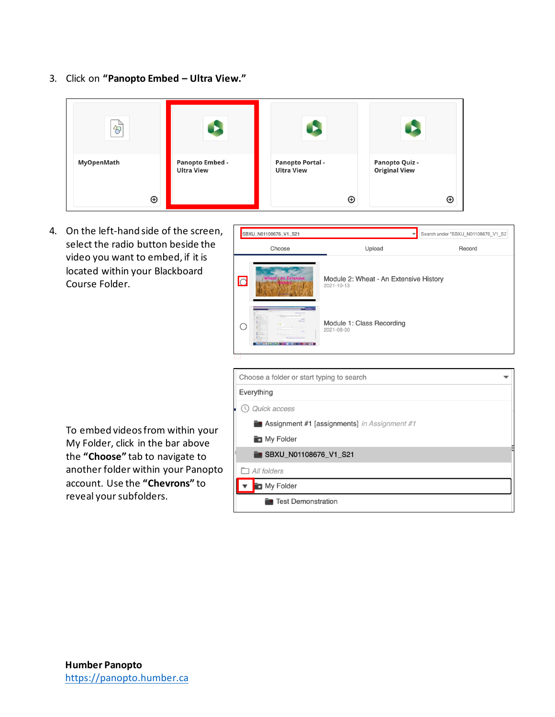3. Click on **"Panopto Embed – Ultra View."**

| $\overline{D}$         |                                             |                                                             |                                                        |
|------------------------|---------------------------------------------|-------------------------------------------------------------|--------------------------------------------------------|
| MyOpenMath<br>$\oplus$ | <b>Panopto Embed -</b><br><b>Ultra View</b> | <b>Panopto Portal -</b><br><b>Ultra View</b><br>$_{\oplus}$ | Panopto Quiz -<br><b>Original View</b><br>$\bm \oplus$ |

4. On the left-hand side of the screen, select the radio button beside the video you want to embed, if it is located within your Blackboard Course Folder.

To embed videos from within your My Folder, click in the bar above the **"Choose"** tab to navigate to another folder within your Panopto account. Use the **"Chevrons"** to reveal your subfolders.



| Choose a folder or start typing to search             |  |
|-------------------------------------------------------|--|
| Everything                                            |  |
| Quick access                                          |  |
| <b>• Assignment #1 [assignments]</b> in Assignment #1 |  |
| My Folder                                             |  |
| <b>B</b> SBXU N01108676 V1 S21                        |  |
| All folders                                           |  |
| My Folder                                             |  |
| <b>Test Demonstration</b>                             |  |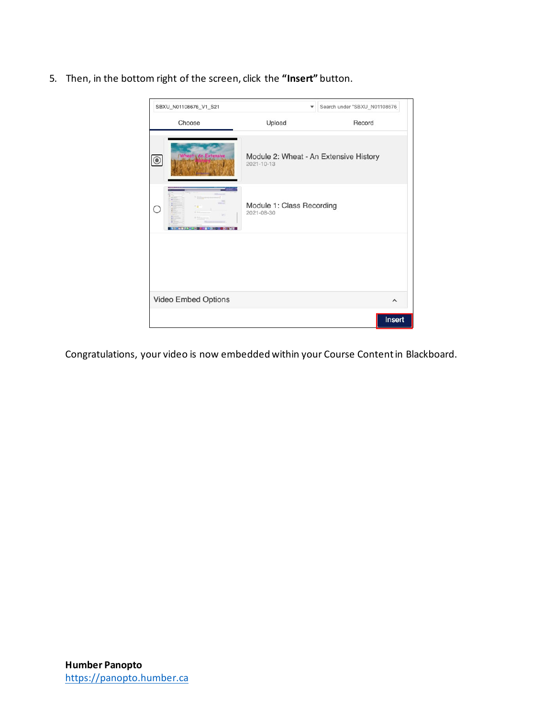5. Then, in the bottom right of the screen, click the **"Insert"** button.



Congratulations, your video is now embedded within your Course Content in Blackboard.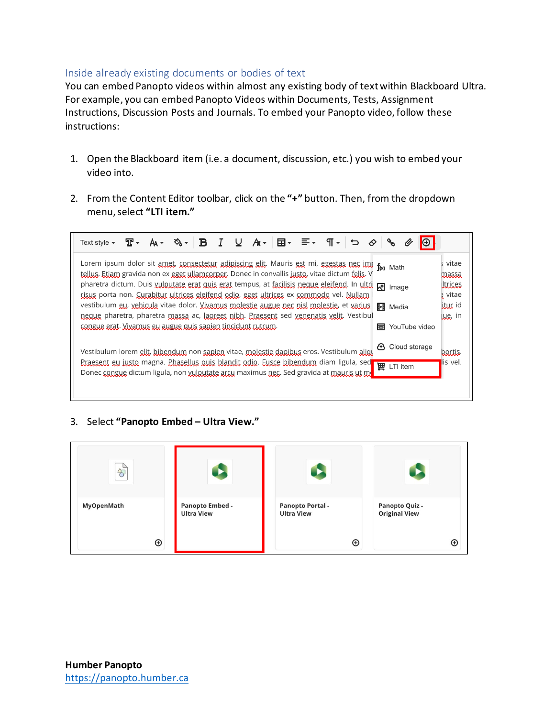## <span id="page-3-0"></span>Inside already existing documents or bodies of text

You can embed Panopto videos within almost any existing body of text within Blackboard Ultra. For example, you can embed Panopto Videos within Documents, Tests, Assignment Instructions, Discussion Posts and Journals. To embed your Panopto video, follow these instructions:

- 1. Open the Blackboard item (i.e. a document, discussion, etc.) you wish to embed your video into.
- 2. From the Content Editor toolbar, click on the **"+"** button. Then, from the dropdown menu, select **"LTI item."**

| Lorem ipsum dolor sit amet, consectetur adiniscing elit. Mauris est mi, egestas nec imi for Math<br>tellus. Etiam gravida non ex eget ullamcorper. Donec in convallis justo, vitae dictum felis. V | s vitae<br>massa                         |
|----------------------------------------------------------------------------------------------------------------------------------------------------------------------------------------------------|------------------------------------------|
| pharetra dictum. Duis vulputate erat quis erat tempus, at facilisis neque eleifend. In ultri co Image<br>risus porta non. Curabitur ultrices eleifend odio, eget ultrices ex commodo vel. Nullam   | <i><u><b>Littices</b></u></i><br>¿ vitae |
| vestibulum gu, yebicula vitae dolor. Vivamus molestie augue nec nisl molestie, et varius<br>⊪<br>Media<br>neque pharetra, pharetra massa ac, laoreet nibh. Praesent sed venenatis velit. Vestibul  | jtur id<br>Lue, in                       |
| conque erat. Vivamus eu augue quis sapien tincidunt rutrum.<br>同 YouTube video                                                                                                                     |                                          |
| <b>4</b> Cloud storage<br>Vestibulum lorem elit, bibendum non sapien vitae, molestie dapibus eros. Vestibulum aliqu                                                                                | bortis.                                  |
| Praesent eu justo magna. Phasellus quis blandit odio. Eusce bibendum diam ligula, sed<br>T田.<br>LTI item<br>Donec congue dictum ligula, non vulputate arcu maximus nec. Sed gravida at mauris ut m | lis vel.                                 |
|                                                                                                                                                                                                    |                                          |

## 3. Select **"Panopto Embed – Ultra View."**

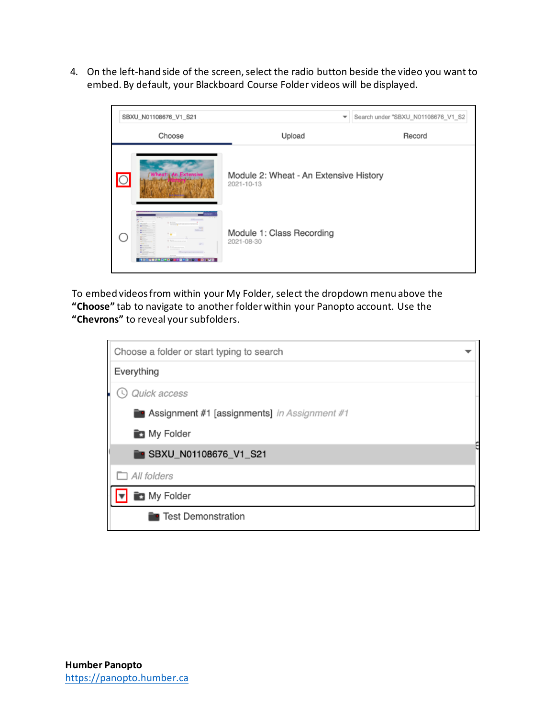4. On the left-hand side of the screen, select the radio button beside the video you want to embed. By default, your Blackboard Course Folder videos will be displayed.



To embed videos from within your My Folder, select the dropdown menu above the **"Choose"** tab to navigate to another folder within your Panopto account. Use the **"Chevrons"** to reveal your subfolders.

| Choose a folder or start typing to search      |  |
|------------------------------------------------|--|
| Everything                                     |  |
| Quick access                                   |  |
| ■ Assignment #1 [assignments] in Assignment #1 |  |
| My Folder                                      |  |
| <b>B</b> SBXU_N01108676_V1_S21                 |  |
| $\Box$ All folders                             |  |
| My Folder                                      |  |
| <b>Test Demonstration</b>                      |  |